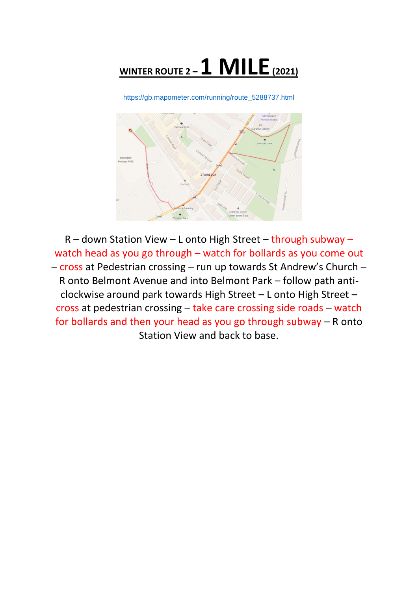

[https://gb.mapometer.com/running/route\\_5288737.html](https://gb.mapometer.com/running/route_5288737.html)



R – down Station View – L onto High Street – through subway – watch head as you go through – watch for bollards as you come out – cross at Pedestrian crossing – run up towards St Andrew's Church – R onto Belmont Avenue and into Belmont Park – follow path anticlockwise around park towards High Street – L onto High Street – cross at pedestrian crossing – take care crossing side roads – watch for bollards and then your head as you go through subway – R onto Station View and back to base.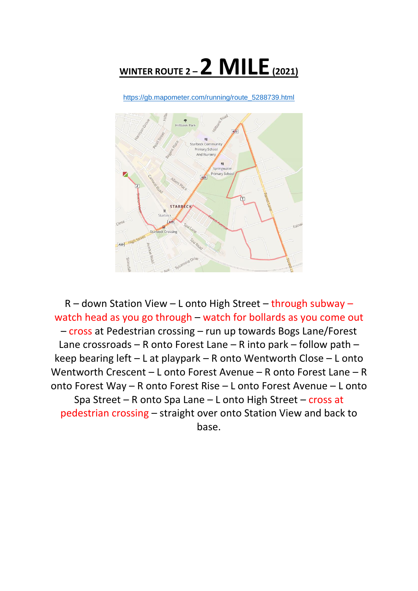

[https://gb.mapometer.com/running/route\\_5288739.html](https://gb.mapometer.com/running/route_5288739.html)



R – down Station View – L onto High Street – through subway – watch head as you go through – watch for bollards as you come out – cross at Pedestrian crossing – run up towards Bogs Lane/Forest Lane crossroads – R onto Forest Lane – R into park – follow path – keep bearing left – L at playpark – R onto Wentworth Close – L onto Wentworth Crescent – L onto Forest Avenue – R onto Forest Lane – R onto Forest Way – R onto Forest Rise – L onto Forest Avenue – L onto Spa Street – R onto Spa Lane – L onto High Street – cross at pedestrian crossing – straight over onto Station View and back to base.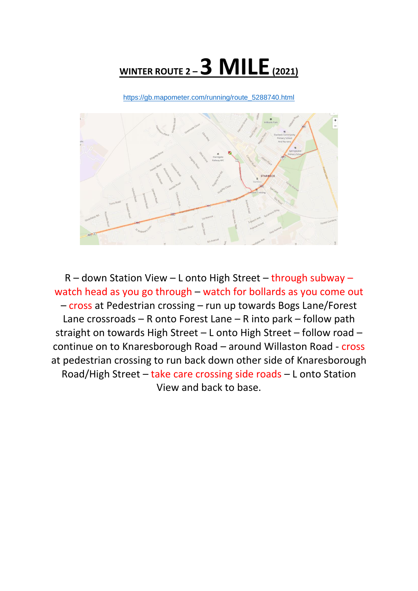## **WINTER ROUTE 2 –3 MILE(2021)**

[https://gb.mapometer.com/running/route\\_5288740.html](https://gb.mapometer.com/running/route_5288740.html)



R – down Station View – L onto High Street – through subway – watch head as you go through – watch for bollards as you come out – cross at Pedestrian crossing – run up towards Bogs Lane/Forest Lane crossroads – R onto Forest Lane – R into park – follow path straight on towards High Street – L onto High Street – follow road – continue on to Knaresborough Road – around Willaston Road - cross at pedestrian crossing to run back down other side of Knaresborough Road/High Street – take care crossing side roads – L onto Station View and back to base.